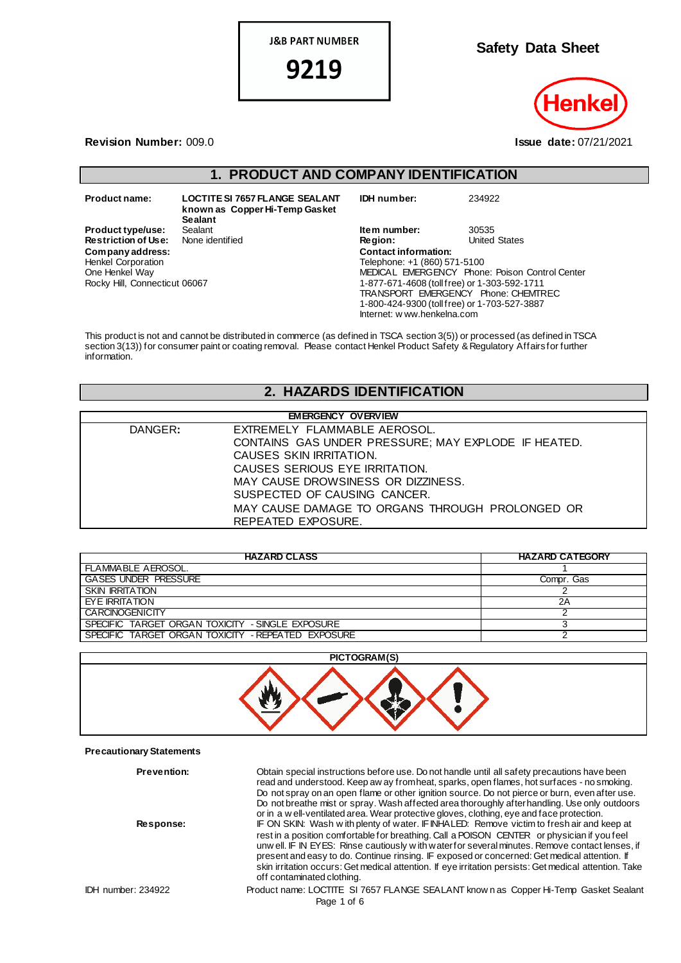**J&B PART NUMBER** 

9219

**Safety Data Sheet**

**Revision Number:** 009.0 **Issue date:** 07/21/2021

# **1. PRODUCT AND COMPANY IDENTIFICATION**

 $Company address:$ Henkel Corporation One Henkel Way Rocky Hill, Connecticut 06067

**Product name: LOCTITE SI 7657 FLANGE SEALANT known as Copper Hi-Temp Gasket Sealant Product type/use:** Sealant **Item number:** 30535<br> **Restriction of Use:** None identified **Integral Construct Construct Construct** Construct Chates **Restriction of Use:** None identified **Represents Region Company address: C**<br>
Henkel Corporation **T** 

| IDH number:                                  | 234922                                         |
|----------------------------------------------|------------------------------------------------|
| Item number:                                 | 30535                                          |
| Region:                                      | <b>United States</b>                           |
| <b>Contact information:</b>                  |                                                |
| Telephone: +1 (860) 571-5100                 |                                                |
|                                              | MEDICAL EMERGENCY Phone: Poison Control Center |
| 1-877-671-4608 (toll free) or 1-303-592-1711 |                                                |
|                                              | TRANSPORT EMERGENCY Phone: CHEMTREC            |
| 1-800-424-9300 (toll free) or 1-703-527-3887 |                                                |

Internet: w ww.henkelna.com

This product is not and cannot be distributed in commerce (as defined in TSCA section 3(5)) or processed (as defined in TSCA section 3(13)) for consumer paint or coating removal. Please contact Henkel Product Safety & Regulatory Affairs for further information.

## **2. HAZARDS IDENTIFICATION**

| <b>EMERGENCY OVERVIEW</b>                           |  |  |  |
|-----------------------------------------------------|--|--|--|
| EXTREMELY FLAMMABLE AEROSOL.                        |  |  |  |
| CONTAINS GAS UNDER PRESSURE; MAY EXPLODE IF HEATED. |  |  |  |
| CAUSES SKIN IRRITATION.                             |  |  |  |
| CAUSES SERIOUS EYE IRRITATION.                      |  |  |  |
| MAY CAUSE DROWSINESS OR DIZZINESS.                  |  |  |  |
| SUSPECTED OF CAUSING CANCER.                        |  |  |  |
| MAY CAUSE DAMAGE TO ORGANS THROUGH PROLONGED OR     |  |  |  |
| REPEATED EXPOSURE.                                  |  |  |  |
|                                                     |  |  |  |

| <b>HAZARD CLASS</b>                                | <b>HAZARD CATEGORY</b> |
|----------------------------------------------------|------------------------|
| FLAMMABLE AEROSOL.                                 |                        |
| <b>GASES UNDER PRESSURE</b>                        | Compr. Gas             |
| <b>SKIN IRRITATION</b>                             |                        |
| <b>FYE IRRITATION</b>                              | 2Α                     |
| <b>CARCINOGENICITY</b>                             |                        |
| SPECIFIC TARGET ORGAN TOXICITY - SINGLE EXPOSURE   |                        |
| SPECIFIC TARGET ORGAN TOXICITY - REPEATED EXPOSURE |                        |



#### **Precautionary Statements**

IDH number: 234922 Product name: LOCTITE SI 7657 FLANGE SEALANT know n as Copper Hi-Temp Gasket Sealant Page 1 of 6 **Prevention:** Obtain special instructions before use. Do not handle until all safety precautions have been read and understood. Keep aw ay from heat, sparks, open flames, hot surfaces - no smoking. Do not spray on an open flame or other ignition source. Do not pierce or burn, even after use. Do not breathe mist or spray. Wash affected area thoroughly after handling. Use only outdoors or in a w ell-ventilated area. Wear protective gloves, clothing, eye and face protection. **Response:** IF ON SKIN: Wash w ith plenty of water. IF INHALED: Remove victim to fresh air and keep at rest in a position comfortable for breathing. Call a POISON CENTER or physician if you feel unw ell. IF IN EYES: Rinse cautiously w ith water for several minutes. Remove contact lenses, if present and easy to do. Continue rinsing. IF exposed or concerned: Get medical attention. If skin irritation occurs: Get medical attention. If eye irritation persists: Get medical attention. Take off contaminated clothing.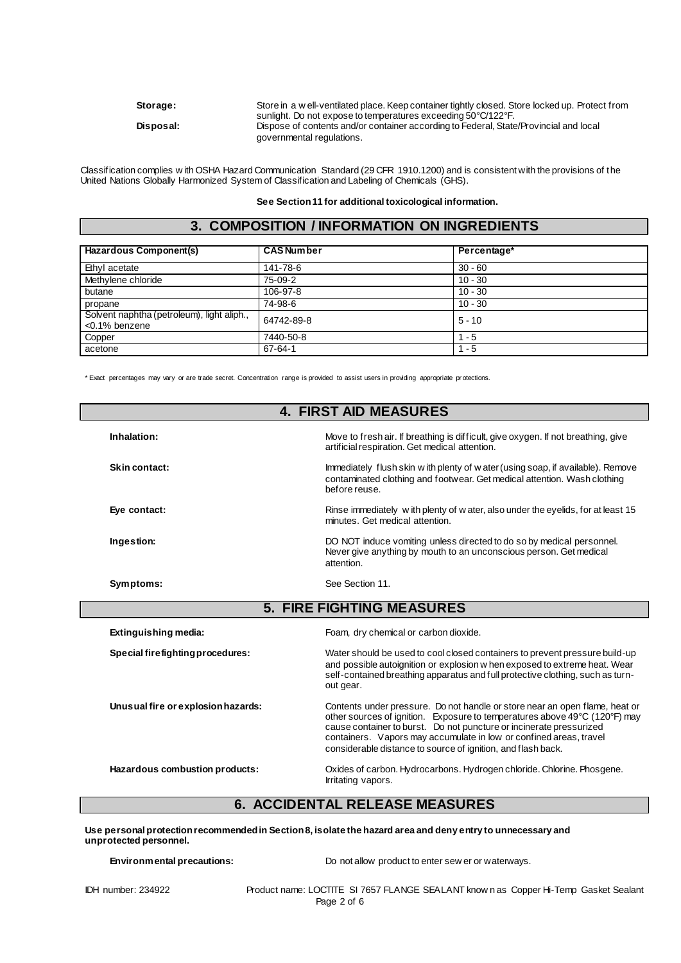Storage: Store in a w ell-ventilated place. Keep container tightly closed. Store locked up. Protect from sunlight. Do not expose to temperatures exceeding 50°C/122°F. **Disposal:** Dispose of contents and/or container according to Federal, State/Provincial and local governmental regulations.

Classification complies w ith OSHA Hazard Communication Standard (29 CFR 1910.1200) and is consistent with the provisions of the United Nations Globally Harmonized System of Classification and Labeling of Chemicals (GHS).

**See Section 11 for additional toxicological information.**

## **3. COMPOSITION / INFORMATION ON INGREDIENTS**

| Hazardous Component(s)                                         | <b>CAS Number</b> | Percentage* |
|----------------------------------------------------------------|-------------------|-------------|
| Ethyl acetate                                                  | 141-78-6          | $30 - 60$   |
| Methylene chloride                                             | 75-09-2           | $10 - 30$   |
| butane                                                         | 106-97-8          | $10 - 30$   |
| propane                                                        | 74-98-6           | $10 - 30$   |
| Solvent naphtha (petroleum), light aliph.,<br>$<$ 0.1% benzene | 64742-89-8        | $5 - 10$    |
| Copper                                                         | 7440-50-8         | - 5         |
| acetone                                                        | $67 - 64 - 1$     | - 5         |

\* Exact percentages may vary or are trade secret. Concentration range is provided to assist users in providing appropriate pr otections.

| <b>4. FIRST AID MEASURES</b>       |                                                                                                                                                                                                                                                                                                                                                                        |  |  |
|------------------------------------|------------------------------------------------------------------------------------------------------------------------------------------------------------------------------------------------------------------------------------------------------------------------------------------------------------------------------------------------------------------------|--|--|
| Inhalation:                        | Move to fresh air. If breathing is difficult, give oxygen. If not breathing, give<br>artificial respiration. Get medical attention.                                                                                                                                                                                                                                    |  |  |
| Skin contact:                      | Immediately flush skin w ith plenty of w ater (using soap, if available). Remove<br>contaminated clothing and footwear. Get medical attention. Wash clothing<br>before reuse.                                                                                                                                                                                          |  |  |
| Eye contact:                       | Rinse immediately with plenty of water, also under the eyelids, for at least 15<br>minutes. Get medical attention.                                                                                                                                                                                                                                                     |  |  |
| Ingestion:                         | DO NOT induce vomiting unless directed to do so by medical personnel.<br>Never give anything by mouth to an unconscious person. Get medical<br>attention.                                                                                                                                                                                                              |  |  |
| Symptoms:                          | See Section 11.                                                                                                                                                                                                                                                                                                                                                        |  |  |
| <b>5. FIRE FIGHTING MEASURES</b>   |                                                                                                                                                                                                                                                                                                                                                                        |  |  |
| Extinguishing media:               | Foam, dry chemical or carbon dioxide.                                                                                                                                                                                                                                                                                                                                  |  |  |
| Special firefighting procedures:   | Water should be used to cool closed containers to prevent pressure build-up<br>and possible autoignition or explosion w hen exposed to extreme heat. Wear<br>self-contained breathing apparatus and full protective clothing, such as turn-<br>out gear.                                                                                                               |  |  |
| Unusual fire or explosion hazards: | Contents under pressure. Do not handle or store near an open flame, heat or<br>other sources of ignition. Exposure to temperatures above 49°C (120°F) may<br>cause container to burst. Do not puncture or incinerate pressurized<br>containers. Vapors may accumulate in low or confined areas, travel<br>considerable distance to source of ignition, and flash back. |  |  |
| Hazardous combustion products:     | Oxides of carbon. Hydrocarbons. Hydrogen chloride. Chlorine. Phosgene.<br>Irritating vapors.                                                                                                                                                                                                                                                                           |  |  |

## **6. ACCIDENTAL RELEASE MEASURES**

**Use personal protection recommended in Section 8, isolate the hazard area and deny entry to unnecessary and unprotected personnel.**

**Environmental precautions:** Do not allow product to enter sew er or waterways.

IDH number: 234922 Product name: LOCTITE SI 7657 FLANGE SEALANT know n as Copper Hi-Temp Gasket Sealant Page 2 of 6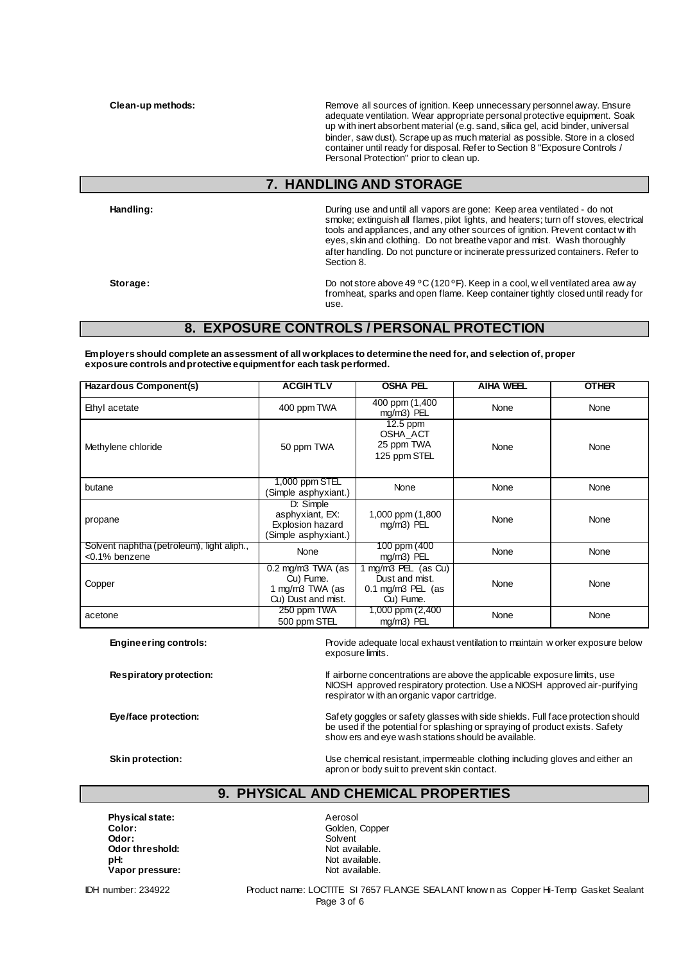**Clean-up methods: Remove all sources of ignition. Keep unnecessary personnel away. Ensure Remove all sources of ignition. Keep unnecessary personnel away. Ensure** adequate ventilation. Wear appropriate personal protective equipment. Soak up w ith inert absorbent material (e.g. sand, silica gel, acid binder, universal binder, saw dust). Scrape up as much material as possible. Store in a closed container until ready for disposal. Refer to Section 8 "Exposure Controls / Personal Protection" prior to clean up.

# **7. HANDLING AND STORAGE**

**Handling:** During use and until all vapors are gone: Keep area ventilated - do not smoke; extinguish all flames, pilot lights, and heaters; turn off stoves, electrical tools and appliances, and any other sources of ignition. Prevent contact w ith eyes, skin and clothing. Do not breathe vapor and mist. Wash thoroughly after handling. Do not puncture or incinerate pressurized containers. Refer to Section 8.

Storage: Storage: Storage: Storage: Do not store above 49 °C (120 °F). Keep in a cool, w ell ventilated area aw ay from heat, sparks and open flame. Keep container tightly closed until ready for use.

## **8. EXPOSURE CONTROLS / PERSONAL PROTECTION**

**Employers should complete an assessment of all workplaces to determine the need for, and selection of, proper exposure controls and protective equipment for each task performed.**

| Hazardous Component(s)                                      | <b>ACGIHTLV</b>                                                                   | <b>OSHA PEL</b>                                                         | <b>AIHA WEEL</b> | <b>OTHER</b> |
|-------------------------------------------------------------|-----------------------------------------------------------------------------------|-------------------------------------------------------------------------|------------------|--------------|
| Ethyl acetate                                               | 400 ppm TWA                                                                       | 400 ppm (1,400<br>mg/m3) PEL                                            | None             | None         |
| Methylene chloride                                          | 50 ppm TWA                                                                        | $12.5$ ppm<br>OSHA ACT<br>25 ppm TWA<br>125 ppm STEL                    | None             | None         |
| butane                                                      | 1,000 ppm STEL<br>(Simple asphyxiant.)                                            | None                                                                    | None             | None         |
| propane                                                     | D: Simple<br>asphyxiant, EX:<br><b>Explosion hazard</b><br>Simple asphyxiant.)    | 1,000 ppm (1,800<br>mg/m3) PEL                                          | None             | None         |
| Solvent naphtha (petroleum), light aliph.,<br><0.1% benzene | None                                                                              | 100 ppm (400<br>mg/m3) PEL                                              | None             | None         |
| Copper                                                      | $0.2 \text{ mg/m}3$ TWA (as<br>Cu) Fume.<br>1 mg/m3 TWA (as<br>Cu) Dust and mist. | $mg/m3$ PEL (as Cu)<br>Dust and mist.<br>0.1 mg/m3 PEL (as<br>Cu) Fume. | None             | None         |
| acetone                                                     | 250 ppm TWA<br>500 ppm STEL                                                       | 1,000 ppm (2,400<br>mg/m3) PEL                                          | None             | None         |

**Engineering controls:** Provide adequate local exhaust ventilation to maintain w orker exposure below exposure limits.

**Respiratory protection:** If airborne concentrations are above the applicable exposure limits, use NIOSH approved respiratory protection. Use a NIOSH approved air-purifying respirator w ith an organic vapor cartridge.

Eye/face protection: Safety goggles or safety glasses with side shields. Full face protection should be used if the potential for splashing or spraying of product exists. Safety show ers and eye wash stations should be available.

**Skin protection:** Use chemical resistant, impermeable clothing including gloves and either an apron or body suit to prevent skin contact.

# **9. PHYSICAL AND CHEMICAL PROPERTIES**

**Physical state:** Aerosol **Color:** Golden, Copper Color: Color: Color: Copper Color: Copper Color: Copper Color: Copper Color: Copper Color: Copper Color: Copper Color: Copper Color: Copper Copper Copper Copper Copper Copper Copper Copper Copper Co **Odor:** Solvent **Odor threshold:** Not available. **pH:**<br> **Vapor pressure:**<br> **Vapor pressure:**<br> **Vapor pressure:**  $V$ apor pressure:

IDH number: 234922 Product name: LOCTITE SI 7657 FLANGE SEALANT know n as Copper Hi-Temp Gasket Sealant Page 3 of 6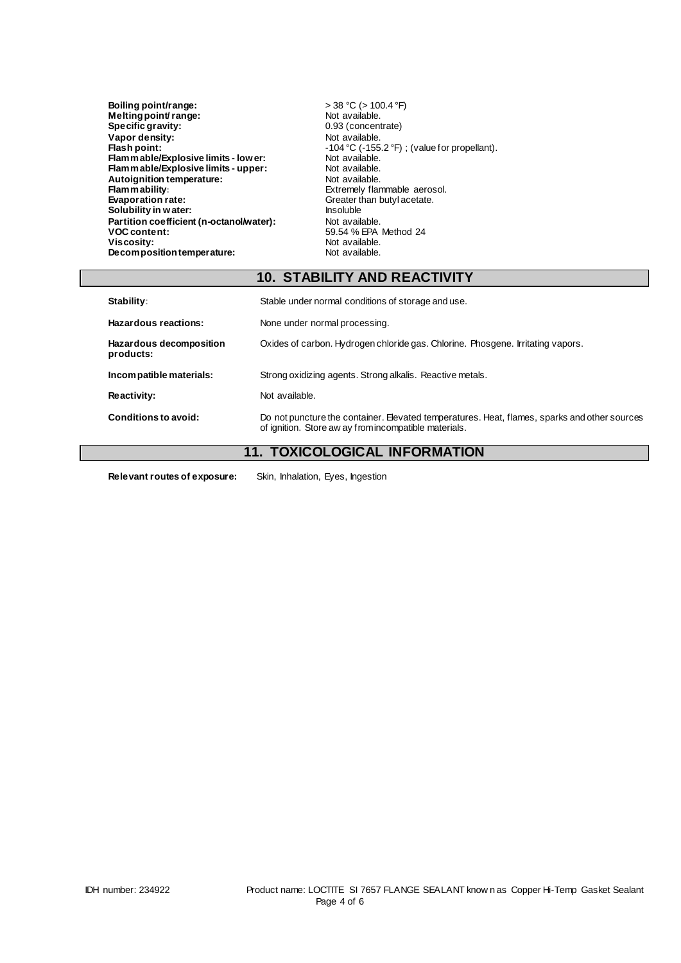| Boiling point/range:                     | $>$ 38 °C ( $>$ 100.4 °F)                         |
|------------------------------------------|---------------------------------------------------|
| Melting point/range:                     | Not available.                                    |
| <b>Specific gravity:</b>                 | 0.93 (concentrate)                                |
| Vapor density:                           | Not available.                                    |
| Flash point:                             | $-104$ °C ( $-155.2$ °F); (value for propellant). |
| Flam mable/Explosive limits - low er:    | Not available.                                    |
| Flam mable/Explosive limits - upper:     | Not available.                                    |
| Autoignition temperature:                | Not available.                                    |
| <b>Flam mability:</b>                    | Extremely flammable aerosol.                      |
| <b>Evaporation rate:</b>                 | Greater than butyl acetate.                       |
| Solubility in water:                     | <b>Insoluble</b>                                  |
| Partition coefficient (n-octanol/water): | Not available.                                    |
| <b>VOC content:</b>                      | 59.54 % EPA Method 24                             |
| Viscosity:                               | Not available.                                    |
| Decomposition temperature:               | Not available.                                    |

# **10. STABILITY AND REACTIVITY**

| Stability:                           | Stable under normal conditions of storage and use.                                                                                                    |
|--------------------------------------|-------------------------------------------------------------------------------------------------------------------------------------------------------|
| Hazardous reactions:                 | None under normal processing.                                                                                                                         |
| Hazardous decomposition<br>products: | Oxides of carbon. Hydrogen chloride gas. Chlorine. Phosgene. Irritating vapors.                                                                       |
| Incompatible materials:              | Strong oxidizing agents. Strong alkalis. Reactive metals.                                                                                             |
| Reactivity:                          | Not available.                                                                                                                                        |
| Conditions to avoid:                 | Do not puncture the container. Elevated temperatures. Heat, flames, sparks and other sources<br>of ignition. Store aw ay from incompatible materials. |

# **11. TOXICOLOGICAL INFORMATION**

**Relevant routes of exposure:** Skin, Inhalation, Eyes, Ingestion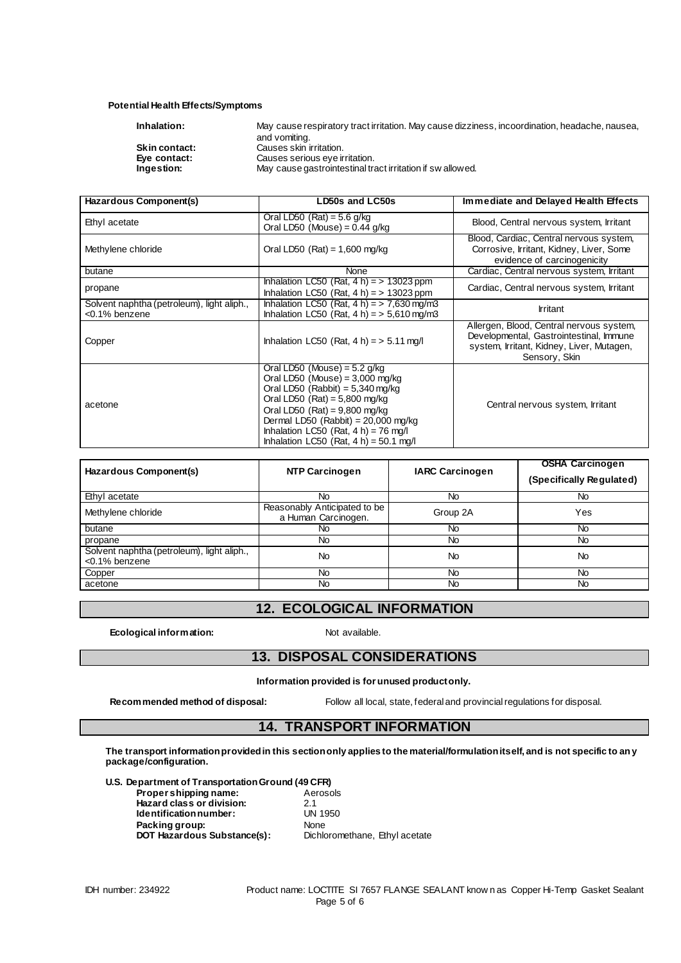#### **Potential Health Effects/Symptoms**

| Inhalation:          | May cause respiratory tract irritation. May cause dizziness, incoordination, headache, nausea, |
|----------------------|------------------------------------------------------------------------------------------------|
|                      | and vomiting.                                                                                  |
| <b>Skin contact:</b> | Causes skin irritation.                                                                        |
| Eve contact:         | Causes serious eve irritation.                                                                 |
| Ingestion:           | May cause gastrointestinal tract irritation if swallowed.                                      |
|                      |                                                                                                |

| Hazardous Component(s)                                      | LD50s and LC50s                                                                                                                                                                                                                                                                                                  | Immediate and Delayed Health Effects                                                                                                              |  |
|-------------------------------------------------------------|------------------------------------------------------------------------------------------------------------------------------------------------------------------------------------------------------------------------------------------------------------------------------------------------------------------|---------------------------------------------------------------------------------------------------------------------------------------------------|--|
| Ethyl acetate                                               | Oral LD50 (Rat) = $5.6$ g/kg<br>Oral LD50 (Mouse) = $0.44$ g/kg                                                                                                                                                                                                                                                  | Blood, Central nervous system, Irritant                                                                                                           |  |
| Methylene chloride                                          | Oral LD50 $(Rat) = 1,600$ mg/kg                                                                                                                                                                                                                                                                                  | Blood, Cardiac, Central nervous system,<br>Corrosive, Irritant, Kidney, Liver, Some<br>evidence of carcinogenicity                                |  |
| butane                                                      | None                                                                                                                                                                                                                                                                                                             | Cardiac, Central nervous system, Irritant                                                                                                         |  |
| propane                                                     | Inhalation LC50 (Rat, $4 h$ ) = > 13023 ppm<br>Inhalation LC50 (Rat, $4 h$ ) = > 13023 ppm                                                                                                                                                                                                                       | Cardiac, Central nervous system, Irritant                                                                                                         |  |
| Solvent naphtha (petroleum), light aliph.,<br><0.1% benzene | Inhalation LC50 (Rat, $4 h$ ) = $> 7.630$ mg/m3<br>Inhalation LC50 (Rat, $4 h$ ) = > 5,610 mg/m3                                                                                                                                                                                                                 | <b>Irritant</b>                                                                                                                                   |  |
| Copper                                                      | Inhalation LC50 (Rat, $4 h$ ) = > 5.11 mg/l                                                                                                                                                                                                                                                                      | Allergen, Blood, Central nervous system,<br>Developmental, Gastrointestinal, Immune<br>system, Irritant, Kidney, Liver, Mutagen,<br>Sensory, Skin |  |
| acetone                                                     | Oral LD50 (Mouse) = $5.2$ g/kg<br>Oral LD50 (Mouse) = $3,000$ mg/kg<br>Oral LD50 (Rabbit) = $5,340$ mg/kg<br>Oral LD50 $(Rat) = 5,800$ mg/kg<br>Oral LD50 (Rat) = $9,800$ mg/kg<br>Dermal LD50 (Rabbit) = $20,000$ mg/kg<br>Inhalation LC50 (Rat, $4 h$ ) = 76 mg/l<br>Inhalation LC50 (Rat, $4 h$ ) = 50.1 mg/l | Central nervous system, Irritant                                                                                                                  |  |

| Hazardous Component(s)                                      | NTP Carcinogen                                      | <b>IARC Carcinogen</b> | <b>OSHA Carcinogen</b><br>(Specifically Regulated) |
|-------------------------------------------------------------|-----------------------------------------------------|------------------------|----------------------------------------------------|
| Ethyl acetate                                               | No                                                  | No                     | No                                                 |
| Methylene chloride                                          | Reasonably Anticipated to be<br>a Human Carcinogen. | Group 2A               | Yes                                                |
| butane                                                      | No                                                  | No.                    | No                                                 |
| propane                                                     | <b>No</b>                                           | <b>No</b>              | No                                                 |
| Solvent naphtha (petroleum), light aliph.,<br><0.1% benzene | No                                                  | No                     | No                                                 |
| Copper                                                      | <b>No</b>                                           | <b>No</b>              | <b>No</b>                                          |
| acetone                                                     | No                                                  | No                     | <b>No</b>                                          |

# **12. ECOLOGICAL INFORMATION**

**Ecological information:** Not available.

# **13. DISPOSAL CONSIDERATIONS**

**Information provided is for unused product only.**

**Recommended method of disposal:** Follow all local, state, federal and provincial regulations for disposal.

# **14. TRANSPORT INFORMATION**

**The transport information provided in this section only applies to the material/formulation itself, and is not specific to any package/configuration.**

**U.S. Department of Transportation Ground (49 CFR)**

| Aerosols                       |
|--------------------------------|
| 21                             |
| UN 1950                        |
| <b>None</b>                    |
| Dichloromethane, Ethyl acetate |
|                                |